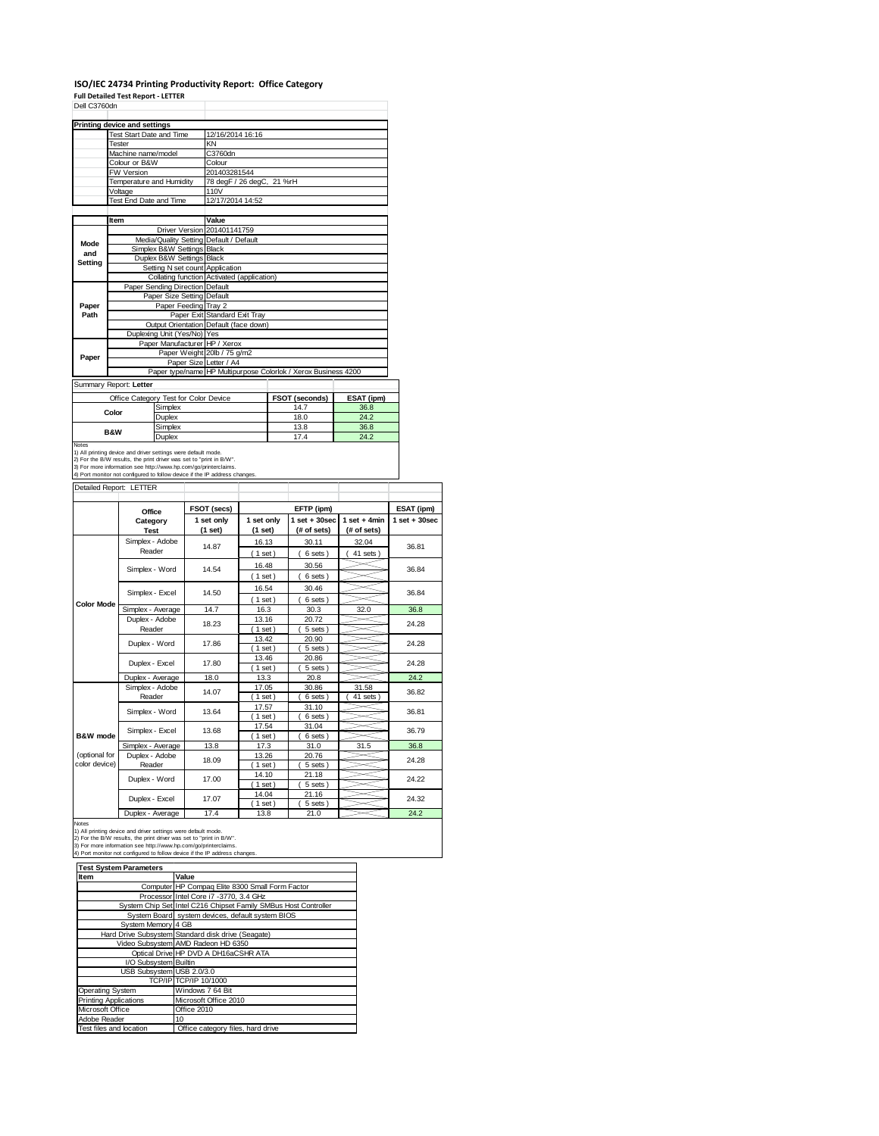## **ISO/IEC 24734 Printing Productivity Report: Office Category**

| Dell C3760dn        | <b>Full Detailed Test Report - LETTER</b>                                                                                                                                                                                                      |                                                    |                           |                                            |                             |  |                                                                |                 |                                 |
|---------------------|------------------------------------------------------------------------------------------------------------------------------------------------------------------------------------------------------------------------------------------------|----------------------------------------------------|---------------------------|--------------------------------------------|-----------------------------|--|----------------------------------------------------------------|-----------------|---------------------------------|
|                     |                                                                                                                                                                                                                                                |                                                    |                           |                                            |                             |  |                                                                |                 |                                 |
|                     | Printing device and settings                                                                                                                                                                                                                   |                                                    |                           |                                            |                             |  |                                                                |                 |                                 |
|                     | Test Start Date and Time                                                                                                                                                                                                                       |                                                    |                           | 12/16/2014 16:16                           |                             |  |                                                                |                 |                                 |
|                     | Tester<br>Machine name/model                                                                                                                                                                                                                   |                                                    |                           | KN<br>C3760dn                              |                             |  |                                                                |                 |                                 |
|                     | Colour or B&W                                                                                                                                                                                                                                  |                                                    |                           | Colour                                     |                             |  |                                                                |                 |                                 |
|                     | FW Version                                                                                                                                                                                                                                     |                                                    | 201403281544              |                                            |                             |  |                                                                |                 |                                 |
|                     | Temperature and Humidity                                                                                                                                                                                                                       |                                                    | 78 degF / 26 degC, 21 %rH |                                            |                             |  |                                                                |                 |                                 |
|                     | Voltage<br>Test End Date and Time                                                                                                                                                                                                              |                                                    |                           | 110V<br>12/17/2014 14:52                   |                             |  |                                                                |                 |                                 |
|                     |                                                                                                                                                                                                                                                |                                                    |                           |                                            |                             |  |                                                                |                 |                                 |
|                     | Item                                                                                                                                                                                                                                           |                                                    |                           | Value                                      |                             |  |                                                                |                 |                                 |
|                     |                                                                                                                                                                                                                                                |                                                    |                           |                                            | Driver Version 201401141759 |  |                                                                |                 |                                 |
| Mode                |                                                                                                                                                                                                                                                |                                                    |                           | Media/Quality Setting Default / Default    |                             |  |                                                                |                 |                                 |
| and                 |                                                                                                                                                                                                                                                | Simplex B&W Settings Black<br>Duplex B&W Settings  |                           | Black                                      |                             |  |                                                                |                 |                                 |
| <b>Setting</b>      |                                                                                                                                                                                                                                                |                                                    |                           | Setting N set count Application            |                             |  |                                                                |                 |                                 |
|                     |                                                                                                                                                                                                                                                |                                                    |                           | Collating function Activated (application) |                             |  |                                                                |                 |                                 |
|                     |                                                                                                                                                                                                                                                | Paper Sending Direction Default                    |                           |                                            |                             |  |                                                                |                 |                                 |
| Paper               |                                                                                                                                                                                                                                                | Paper Size Setting Default<br>Paper Feeding Tray 2 |                           |                                            |                             |  |                                                                |                 |                                 |
| Path                |                                                                                                                                                                                                                                                |                                                    |                           | Paper Exit Standard Exit Tray              |                             |  |                                                                |                 |                                 |
|                     |                                                                                                                                                                                                                                                |                                                    |                           | Output Orientation Default (face down)     |                             |  |                                                                |                 |                                 |
|                     |                                                                                                                                                                                                                                                | Duplexing Unit (Yes/No) Yes                        |                           | Paper Manufacturer HP / Xerox              |                             |  |                                                                |                 |                                 |
|                     |                                                                                                                                                                                                                                                |                                                    |                           | Paper Weight 20lb / 75 g/m2                |                             |  |                                                                |                 |                                 |
| Paper               |                                                                                                                                                                                                                                                |                                                    |                           | Paper Size Letter / A4                     |                             |  |                                                                |                 |                                 |
|                     |                                                                                                                                                                                                                                                |                                                    |                           |                                            |                             |  | Paper type/name HP Multipurpose Colorlok / Xerox Business 4200 |                 |                                 |
|                     | Summary Report: Letter                                                                                                                                                                                                                         |                                                    |                           |                                            |                             |  |                                                                |                 |                                 |
|                     | Office Category Test for Color Device                                                                                                                                                                                                          |                                                    |                           |                                            |                             |  | FSOT (seconds)                                                 | ESAT (ipm)      |                                 |
|                     | Color                                                                                                                                                                                                                                          | Simplex                                            |                           |                                            |                             |  | 14.7                                                           | 36.8            |                                 |
|                     |                                                                                                                                                                                                                                                | Duplex<br>Simplex                                  |                           |                                            |                             |  | 18.0<br>13.8                                                   | 24.2<br>36.8    |                                 |
|                     | <b>B&amp;W</b>                                                                                                                                                                                                                                 | Duplex                                             |                           |                                            |                             |  | 17.4                                                           | 24.2            |                                 |
|                     | 2) For the B/W results, the print driver was set to "print in B/W".<br>3) For more information see http://www.hp.com/go/printerclaims.<br>4) Port monitor not configured to follow device if the IP address changes<br>Detailed Report: LETTER |                                                    |                           |                                            |                             |  |                                                                |                 |                                 |
|                     |                                                                                                                                                                                                                                                |                                                    |                           |                                            |                             |  |                                                                |                 |                                 |
|                     | Office                                                                                                                                                                                                                                         |                                                    |                           | FSOT (secs)<br>1 set only                  | 1 set only                  |  | EFTP (ipm)<br>$1$ set $+30$ sec                                | $1 set + 4 min$ | ESAT (ipm)<br>$1$ set $+30$ sec |
|                     | Category<br><b>Test</b>                                                                                                                                                                                                                        |                                                    |                           | (1 set)                                    | (1 set)                     |  | (# of sets)                                                    | (# of sets)     |                                 |
|                     | Simplex - Adobe                                                                                                                                                                                                                                |                                                    |                           |                                            | 16.13                       |  | 30.11                                                          | 32.04           |                                 |
|                     | Reader                                                                                                                                                                                                                                         |                                                    |                           | 14.87                                      | (1 set)                     |  | 6 sets)                                                        | 41 sets)        | 36.81                           |
|                     |                                                                                                                                                                                                                                                |                                                    |                           |                                            | 16.48                       |  | 30.56                                                          |                 |                                 |
|                     | Simplex - Word                                                                                                                                                                                                                                 |                                                    |                           | 14.54                                      | (1 set)                     |  | 6 sets)                                                        |                 | 36.84                           |
|                     |                                                                                                                                                                                                                                                |                                                    |                           | 14.50                                      | 16.54                       |  | 30.46                                                          |                 | 36.84                           |
| <b>Color Mode</b>   | Simplex - Excel                                                                                                                                                                                                                                |                                                    |                           |                                            | (1 set)                     |  | 6 sets)                                                        |                 |                                 |
|                     | Simplex - Average                                                                                                                                                                                                                              |                                                    |                           | 14.7                                       | 16.3                        |  | 30.3                                                           | 32.0            | 36.8                            |
|                     | Duplex - Adobe<br>Reader                                                                                                                                                                                                                       |                                                    |                           | 18.23                                      | 13.16<br>1 set              |  | 20.72<br>5 sets)                                               |                 | 24.28                           |
|                     |                                                                                                                                                                                                                                                |                                                    |                           |                                            | 13.42                       |  | 20.90                                                          |                 |                                 |
|                     | Duplex - Word                                                                                                                                                                                                                                  |                                                    |                           | 17.86                                      | 1 set                       |  | $5 \text{ sets}$                                               |                 | 24.28                           |
|                     | Duplex - Excel                                                                                                                                                                                                                                 |                                                    |                           | 17.80                                      | 13.46                       |  | 20.86                                                          |                 | 24.28                           |
|                     |                                                                                                                                                                                                                                                |                                                    |                           |                                            | $1$ set)                    |  | 5 sets)                                                        |                 |                                 |
|                     | Duplex - Average<br>Simplex - Adobe                                                                                                                                                                                                            |                                                    |                           | 18.0                                       | 13.3<br>17.05               |  | 20.8<br>30.86                                                  | 31.58           | 24.2                            |
|                     | Reader                                                                                                                                                                                                                                         |                                                    |                           | 14.07                                      | $1$ set                     |  | 6 sets                                                         | 41 sets         | 36.82                           |
|                     | Simplex - Word                                                                                                                                                                                                                                 |                                                    |                           | 13.64                                      | 17.57                       |  | 31.10                                                          |                 | 36.81                           |
|                     |                                                                                                                                                                                                                                                |                                                    |                           |                                            | $1$ set)                    |  | 6 sets)                                                        |                 |                                 |
| <b>B&amp;W</b> mode | Simplex - Excel                                                                                                                                                                                                                                |                                                    |                           | 13.68                                      | 17.54<br>$1$ set)           |  | 31.04<br>6 sets)                                               |                 | 36.79                           |
|                     | Simplex - Average                                                                                                                                                                                                                              |                                                    |                           | 13.8                                       | 17.3                        |  | 31.0                                                           | 31.5            | 36.8                            |
| (optional for       | Duplex - Adobe                                                                                                                                                                                                                                 |                                                    |                           | 18.09                                      | 13.26                       |  | 20.76                                                          |                 | 24.28                           |
| color device)       | Reader                                                                                                                                                                                                                                         |                                                    |                           |                                            | $1$ set                     |  | 5 sets                                                         |                 |                                 |
|                     | Duplex - Word                                                                                                                                                                                                                                  |                                                    |                           | 17.00                                      | 14.10<br>(1 set)            |  | 21.18<br>5 sets                                                |                 | 24.22                           |
|                     |                                                                                                                                                                                                                                                |                                                    |                           |                                            | 14.04                       |  | 21.16                                                          |                 |                                 |
|                     | Duplex - Excel                                                                                                                                                                                                                                 |                                                    |                           | 17.07                                      | (1 set)                     |  | 5 sets)                                                        |                 | 24.32                           |
|                     | Duplex - Average                                                                                                                                                                                                                               |                                                    |                           | 17.4                                       | 13.8                        |  | 21.0                                                           |                 | 24.2                            |

Notes

1) All printing device and driver settings were default mode.<br>2) For the B/W results, the print driver was set to "print in B/W".<br>3) For more information see http://www.hp.com/go/printerclaims.<br>4) Port monitor not configur

**Test System Parameters**

| rest ovstem rarameters       |                                                                 |  |  |  |
|------------------------------|-----------------------------------------------------------------|--|--|--|
| <b>Item</b>                  | Value                                                           |  |  |  |
|                              | Computer HP Compaq Elite 8300 Small Form Factor                 |  |  |  |
|                              | Processor Intel Core i7 -3770, 3.4 GHz                          |  |  |  |
|                              | System Chip Set Intel C216 Chipset Family SMBus Host Controller |  |  |  |
|                              | System Board system devices, default system BIOS                |  |  |  |
| System Memory 4 GB           |                                                                 |  |  |  |
|                              | Hard Drive Subsystem Standard disk drive (Seagate)              |  |  |  |
|                              | Video Subsystem AMD Radeon HD 6350                              |  |  |  |
|                              | Optical Drive HP DVD A DH16aCSHR ATA                            |  |  |  |
| I/O Subsystem Builtin        |                                                                 |  |  |  |
| USB Subsystem USB 2.0/3.0    |                                                                 |  |  |  |
|                              | TCP/IP TCP/IP 10/1000                                           |  |  |  |
| <b>Operating System</b>      | Windows 7 64 Bit                                                |  |  |  |
| <b>Printing Applications</b> | Microsoft Office 2010                                           |  |  |  |
| Microsoft Office             | Office 2010                                                     |  |  |  |
| Adobe Reader                 | 10                                                              |  |  |  |
| Test files and location      | Office category files, hard drive                               |  |  |  |
|                              |                                                                 |  |  |  |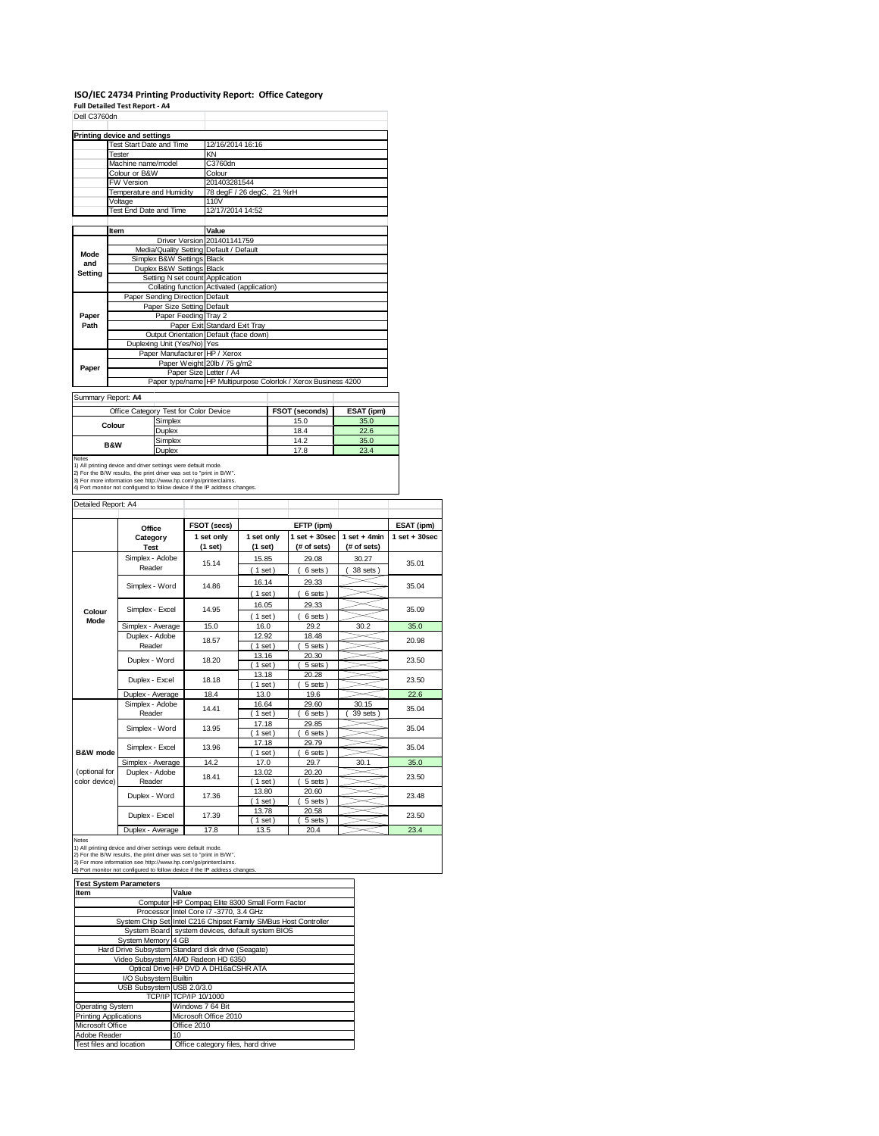# **ISO/IEC 24734 Printing Productivity Report: Office Category Full Detailed Test Report ‐ A4** Dell C3760dn

| Dell C37600N |                                         |                                                                |
|--------------|-----------------------------------------|----------------------------------------------------------------|
|              | <b>Printing device and settings</b>     |                                                                |
|              | Test Start Date and Time                | 12/16/2014 16:16                                               |
|              | Tester                                  | KN                                                             |
|              | Machine name/model                      | C3760dn                                                        |
|              | Colour or B&W                           | Colour                                                         |
|              | <b>FW Version</b>                       | 201403281544                                                   |
|              | Temperature and Humidity                | 78 degF / 26 degC, 21 %rH                                      |
|              | Voltage                                 | 110V                                                           |
|              | Test End Date and Time                  | 12/17/2014 14:52                                               |
|              |                                         |                                                                |
|              | Item                                    | Value                                                          |
|              |                                         | Driver Version 201401141759                                    |
| Mode         | Media/Quality Setting Default / Default |                                                                |
| and          | Simplex B&W Settings Black              |                                                                |
|              | Duplex B&W Settings Black               |                                                                |
| Setting      | Setting N set count Application         |                                                                |
|              |                                         | Collating function Activated (application)                     |
|              | Paper Sending Direction Default         |                                                                |
|              | Paper Size Setting Default              |                                                                |
| Paper        | Paper Feeding Tray 2                    |                                                                |
| Path         |                                         | Paper Exit Standard Exit Tray                                  |
|              |                                         | Output Orientation Default (face down)                         |
|              | Duplexing Unit (Yes/No) Yes             |                                                                |
|              | Paper Manufacturer HP / Xerox           |                                                                |
| Paper        |                                         | Paper Weight 20lb / 75 g/m2                                    |
|              | Paper Size Letter / A4                  |                                                                |
|              |                                         | Paper type/name HP Multipurpose Colorlok / Xerox Business 4200 |
|              | Summary Report: A4                      |                                                                |
|              |                                         |                                                                |

Summary Report: **A4**

|                                                                            | Office Category Test for Color Device                               | <b>FSOT (seconds)</b> | ESAT (ipm) |  |  |  |
|----------------------------------------------------------------------------|---------------------------------------------------------------------|-----------------------|------------|--|--|--|
| Colour                                                                     | Simplex                                                             | 15.0                  | 35.0       |  |  |  |
|                                                                            | Duplex                                                              | 18.4                  | 22.6       |  |  |  |
|                                                                            | Simplex                                                             | 14.2                  | 35.0       |  |  |  |
| <b>B&amp;W</b>                                                             | Duplex                                                              | 17.8                  | 23.4       |  |  |  |
| <b>Notes</b>                                                               |                                                                     |                       |            |  |  |  |
|                                                                            | 1) All printing device and driver settings were default mode.       |                       |            |  |  |  |
|                                                                            | 2) For the B/W results, the print driver was set to "print in B/W". |                       |            |  |  |  |
| 3) For more information see http://www.hp.com/go/printerclaims.            |                                                                     |                       |            |  |  |  |
| 4) Port monitor not configured to follow device if the IP address changes. |                                                                     |                       |            |  |  |  |

| Detailed Report: A4            |                           |                       |                       |                                  |                               |                   |
|--------------------------------|---------------------------|-----------------------|-----------------------|----------------------------------|-------------------------------|-------------------|
|                                | Office                    | FSOT (secs)           |                       | EFTP (ipm)                       |                               | ESAT (ipm)        |
|                                | Category<br><b>Test</b>   | 1 set only<br>(1 set) | 1 set only<br>(1 set) | $1$ set $+30$ sec<br>(# of sets) | $1$ set + 4min<br>(# of sets) | $1$ set $+30$ sec |
|                                | Simplex - Adobe<br>Reader | 15.14                 | 15.85<br>$1$ set)     | 29.08<br>6 sets)                 | 30.27<br>38 sets)             | 35.01             |
|                                | Simplex - Word            | 14.86                 | 16.14<br>$1$ set)     | 29.33<br>6 sets)                 |                               | 35.04             |
| Colour<br>Mode                 | Simplex - Excel           | 14.95                 | 16.05<br>$1$ set)     | 29.33<br>6 sets)                 |                               | 35.09             |
|                                | Simplex - Average         | 15.0                  | 16.0                  | 29.2                             | 30.2                          | 35.0              |
|                                | Duplex - Adobe<br>Reader  | 18.57                 | 12.92<br>$1$ set)     | 18.48<br>5 sets)                 |                               | 20.98             |
|                                | Duplex - Word             | 18.20                 | 13.16<br>$1$ set)     | 20.30<br>5 sets)                 |                               | 23.50             |
|                                | Duplex - Excel            | 18.18                 | 13.18<br>$1$ set)     | 20.28<br>5 sets                  |                               | 23.50             |
|                                | Duplex - Average          | 18.4                  | 13.0                  | 19.6                             |                               | 22.6              |
|                                | Simplex - Adobe<br>Reader | 14.41                 | 16.64<br>$1$ set)     | 29.60<br>6 sets)                 | 30.15<br>39 sets              | 35.04             |
|                                | Simplex - Word            | 13.95                 | 17.18<br>$1$ set)     | 29.85<br>6 sets)                 |                               | 35.04             |
| B&W mode                       | Simplex - Excel           | 13.96                 | 17.18<br>$1$ set)     | 29.79<br>6 sets)                 |                               | 35.04             |
|                                | Simplex - Average         | 14.2                  | 17.0                  | 29.7                             | 30.1                          | 35.0              |
| (optional for<br>color device) | Duplex - Adobe<br>Reader  | 18.41                 | 13.02<br>$1$ set)     | 20.20<br>5 sets)                 |                               | 23.50             |
|                                | Duplex - Word             | 17.36                 | 13.80<br>$1$ set)     | 20.60<br>5 sets)                 |                               | 23.48             |
|                                | Duplex - Excel            | 17.39                 | 13.78<br>$1$ set)     | 20.58<br>5 sets                  |                               | 23.50             |
|                                | Donation of               | $-1$                  | $\sim$ $-$            | $\sim$ $\sim$                    |                               | $\sim$ $\sim$     |

Duplex - Average 17.8 13.5 20.4 23.4<br>
1) All printing device and driver settings were default mode.<br>
2) For the B/W results, the print driver was set to "print in B/W".<br>
3) For more information see http://www.hp.com/go/pr

| <b>Test System Parameters</b> |                                                                 |  |  |  |
|-------------------------------|-----------------------------------------------------------------|--|--|--|
| Item                          | Value                                                           |  |  |  |
|                               | Computer HP Compaq Elite 8300 Small Form Factor                 |  |  |  |
|                               | Processor Intel Core i7 -3770, 3.4 GHz                          |  |  |  |
|                               | System Chip Set Intel C216 Chipset Family SMBus Host Controller |  |  |  |
|                               | System Board system devices, default system BIOS                |  |  |  |
| System Memory 4 GB            |                                                                 |  |  |  |
|                               | Hard Drive Subsystem Standard disk drive (Seagate)              |  |  |  |
|                               | Video Subsystem AMD Radeon HD 6350                              |  |  |  |
|                               | Optical Drive HP DVD A DH16aCSHR ATA                            |  |  |  |
| I/O Subsystem Builtin         |                                                                 |  |  |  |
| USB Subsystem USB 2.0/3.0     |                                                                 |  |  |  |
|                               | TCP/IP TCP/IP 10/1000                                           |  |  |  |
| Operating System              | Windows 7 64 Bit                                                |  |  |  |
| <b>Printing Applications</b>  | Microsoft Office 2010                                           |  |  |  |
| Microsoft Office              | Office 2010                                                     |  |  |  |
| Adobe Reader                  | 10                                                              |  |  |  |
| Test files and location       | Office category files, hard drive                               |  |  |  |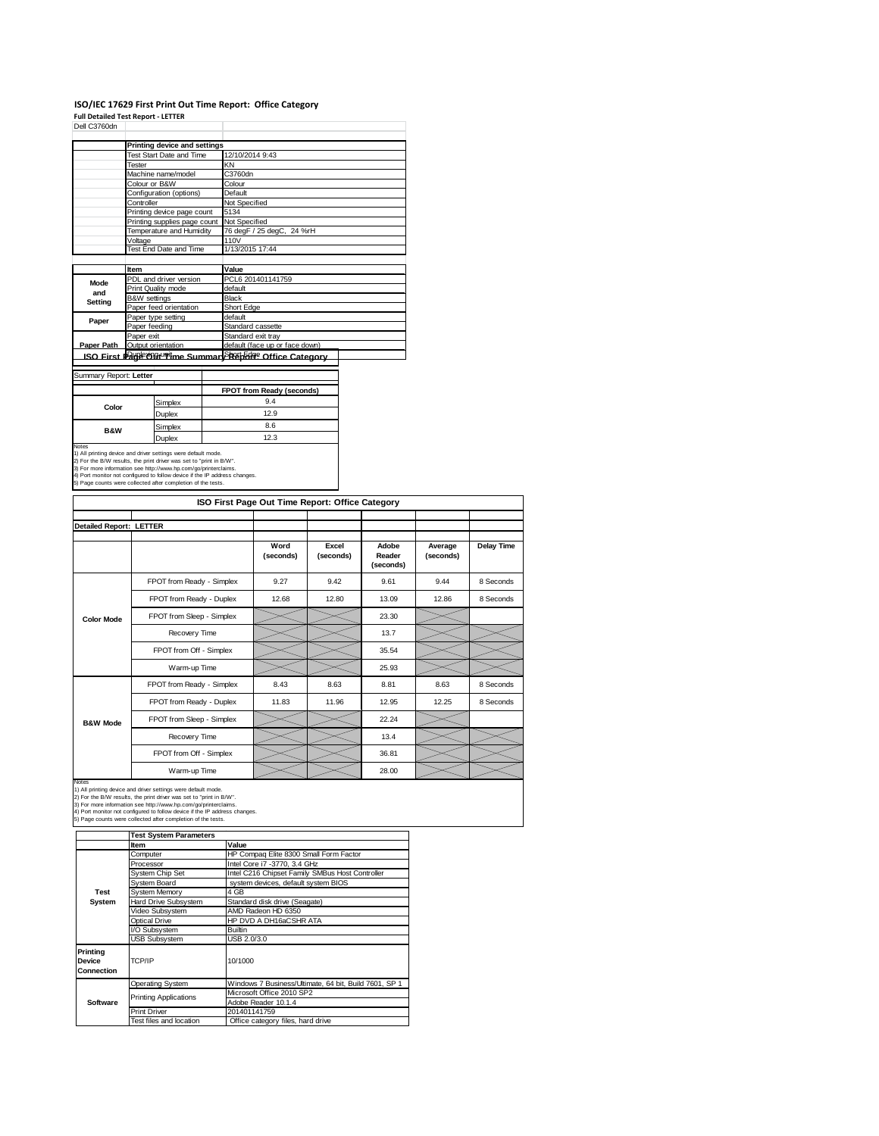#### **ISO/IEC 17629 First Print Out Time Report: Office Category Full Detailed Test Report ‐ LETTER**

| Dell C3760dn           |                              |                                                           |  |  |
|------------------------|------------------------------|-----------------------------------------------------------|--|--|
|                        | Printing device and settings |                                                           |  |  |
|                        | Test Start Date and Time     | 12/10/2014 9:43                                           |  |  |
|                        | Tester                       | KN                                                        |  |  |
|                        | Machine name/model           | C3760dn                                                   |  |  |
|                        | Colour or B&W                | Colour                                                    |  |  |
|                        | Configuration (options)      | Default                                                   |  |  |
|                        | Controller                   | Not Specified                                             |  |  |
|                        | Printing device page count   | 5134                                                      |  |  |
|                        | Printing supplies page count | Not Specified                                             |  |  |
|                        | Temperature and Humidity     | 76 degF / 25 degC, 24 %rH                                 |  |  |
| Voltage                |                              | 110V                                                      |  |  |
| Test End Date and Time |                              | 1/13/2015 17:44                                           |  |  |
|                        |                              |                                                           |  |  |
|                        | Item                         | Value                                                     |  |  |
| Mode                   | PDL and driver version       | PCL6 201401141759                                         |  |  |
| and                    | Print Quality mode           | default                                                   |  |  |
| Setting                | <b>B&amp;W</b> settings      | Black                                                     |  |  |
|                        | Paper feed orientation       | Short Edge                                                |  |  |
| Paper                  | Paper type setting           | default                                                   |  |  |
|                        | Paper feeding                | Standard cassette                                         |  |  |
|                        | Paper exit                   | Standard exit tray                                        |  |  |
| Paper Path             | Output orientation           | default (face up or face down)                            |  |  |
|                        |                              | ISO First Parkeongruptime SummarySR&hEdge Office Category |  |  |

#### Summary Report: **Letter** Τ

|                |         | FPOT from Ready (seconds) |
|----------------|---------|---------------------------|
| Color          | Simplex | 9.4                       |
|                | Duplex  | 12.9                      |
| <b>B&amp;W</b> | Simplex | 8.6                       |
|                | Junlex  | 12.3                      |

**Duplex** 12.3<br>
12.3<br>
1) All printing device and driver settings were default mode.<br>
2) For the BAV results, the print drive was set to "print in BAV".<br>
3) For more information see http://www.hp.com/go/printerclaims.<br>
4) Po

|                                |                                                                                                                                                                                                                                                                                                                                                       | ISO First Page Out Time Report: Office Category |                    |                              |                      |                   |
|--------------------------------|-------------------------------------------------------------------------------------------------------------------------------------------------------------------------------------------------------------------------------------------------------------------------------------------------------------------------------------------------------|-------------------------------------------------|--------------------|------------------------------|----------------------|-------------------|
| <b>Detailed Report: LETTER</b> |                                                                                                                                                                                                                                                                                                                                                       |                                                 |                    |                              |                      |                   |
|                                |                                                                                                                                                                                                                                                                                                                                                       | Word<br>(seconds)                               | Excel<br>(seconds) | Adobe<br>Reader<br>(seconds) | Average<br>(seconds) | <b>Delay Time</b> |
|                                | FPOT from Ready - Simplex                                                                                                                                                                                                                                                                                                                             | 9.27                                            | 9.42               | 9.61                         | 9.44                 | 8 Seconds         |
|                                | FPOT from Ready - Duplex                                                                                                                                                                                                                                                                                                                              | 12.68                                           | 12.80              | 13.09                        | 12.86                | 8 Seconds         |
| <b>Color Mode</b>              | FPOT from Sleep - Simplex                                                                                                                                                                                                                                                                                                                             |                                                 |                    | 23.30                        |                      |                   |
|                                | Recovery Time                                                                                                                                                                                                                                                                                                                                         |                                                 |                    | 13.7                         |                      |                   |
|                                | FPOT from Off - Simplex                                                                                                                                                                                                                                                                                                                               |                                                 |                    | 35.54                        |                      |                   |
|                                | Warm-up Time                                                                                                                                                                                                                                                                                                                                          |                                                 |                    | 25.93                        |                      |                   |
|                                | FPOT from Ready - Simplex                                                                                                                                                                                                                                                                                                                             | 8.43                                            | 8.63               | 8.81                         | 8.63                 | 8 Seconds         |
|                                | FPOT from Ready - Duplex                                                                                                                                                                                                                                                                                                                              | 11.83                                           | 11.96              | 12.95                        | 12.25                | 8 Seconds         |
| <b>B&amp;W Mode</b>            | FPOT from Sleep - Simplex                                                                                                                                                                                                                                                                                                                             |                                                 |                    | 22.24                        |                      |                   |
|                                | Recovery Time                                                                                                                                                                                                                                                                                                                                         |                                                 |                    | 13.4                         |                      |                   |
|                                | FPOT from Off - Simplex                                                                                                                                                                                                                                                                                                                               |                                                 |                    | 36.81                        |                      |                   |
|                                | Warm-up Time                                                                                                                                                                                                                                                                                                                                          |                                                 |                    | 28.00                        |                      |                   |
| Notes                          | 1) All printing device and driver settings were default mode.<br>2) For the B/W results, the print driver was set to "print in B/W".<br>3) For more information see http://www.hp.com/go/printerclaims.<br>4) Port monitor not configured to follow device if the IP address changes.<br>5) Page counts were collected after completion of the tests. |                                                 |                    |                              |                      |                   |

|                                  | <b>Test System Parameters</b> |                                                       |  |  |
|----------------------------------|-------------------------------|-------------------------------------------------------|--|--|
|                                  | <b>Item</b>                   | Value                                                 |  |  |
|                                  | Computer                      | HP Compaq Elite 8300 Small Form Factor                |  |  |
|                                  | Processor                     | Intel Core i7 -3770, 3.4 GHz                          |  |  |
|                                  | <b>System Chip Set</b>        | Intel C216 Chipset Family SMBus Host Controller       |  |  |
|                                  | System Board                  | system devices, default system BIOS                   |  |  |
| Test                             | <b>System Memory</b>          | 4 GB                                                  |  |  |
| System                           | Hard Drive Subsystem          | Standard disk drive (Seagate)                         |  |  |
|                                  | Video Subsystem               | AMD Radeon HD 6350                                    |  |  |
|                                  | Optical Drive                 | HP DVD A DH16aCSHR ATA                                |  |  |
|                                  | I/O Subsystem                 | Builtin                                               |  |  |
|                                  | <b>USB Subsystem</b>          | USB 2.0/3.0                                           |  |  |
| Printina<br>Device<br>Connection | TCP/IP                        | 10/1000                                               |  |  |
|                                  | Operating System              | Windows 7 Business/Ultimate, 64 bit, Build 7601, SP 1 |  |  |
|                                  | <b>Printing Applications</b>  | Microsoft Office 2010 SP2                             |  |  |
| Software                         |                               | Adobe Reader 10.1.4                                   |  |  |
|                                  | <b>Print Driver</b>           | 201401141759                                          |  |  |
|                                  | Test files and location       | Office category files, hard drive                     |  |  |